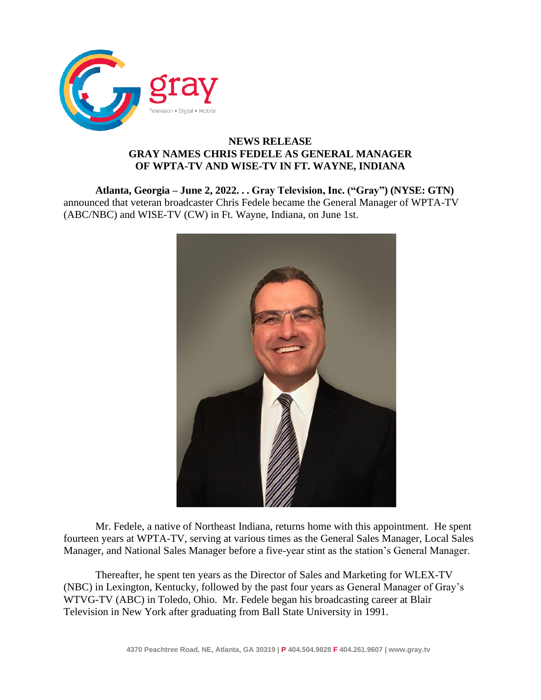

## **NEWS RELEASE GRAY NAMES CHRIS FEDELE AS GENERAL MANAGER OF WPTA-TV AND WISE-TV IN FT. WAYNE, INDIANA**

**Atlanta, Georgia – June 2, 2022. . . Gray Television, Inc. ("Gray") (NYSE: GTN)**  announced that veteran broadcaster Chris Fedele became the General Manager of WPTA-TV (ABC/NBC) and WISE-TV (CW) in Ft. Wayne, Indiana, on June 1st.



Mr. Fedele, a native of Northeast Indiana, returns home with this appointment. He spent fourteen years at WPTA-TV, serving at various times as the General Sales Manager, Local Sales Manager, and National Sales Manager before a five-year stint as the station's General Manager.

Thereafter, he spent ten years as the Director of Sales and Marketing for WLEX-TV (NBC) in Lexington, Kentucky, followed by the past four years as General Manager of Gray's WTVG-TV (ABC) in Toledo, Ohio. Mr. Fedele began his broadcasting career at Blair Television in New York after graduating from Ball State University in 1991.